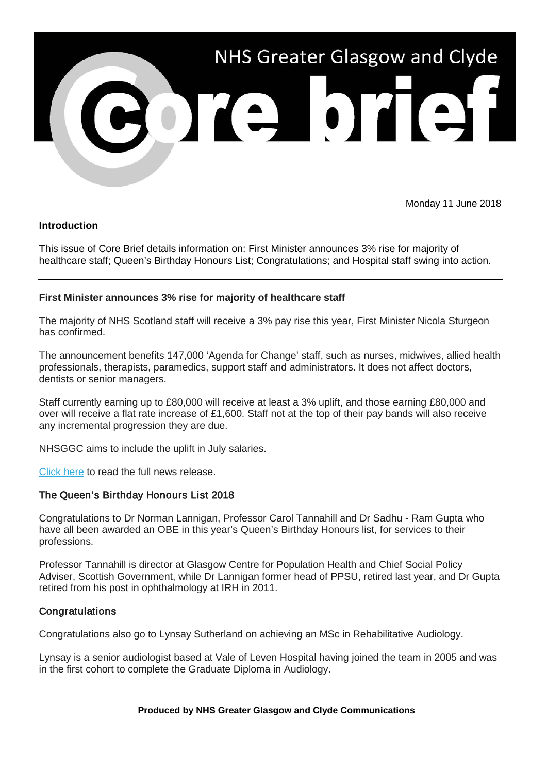

Monday 11 June 2018

# **Introduction**

This issue of Core Brief details information on: First Minister announces 3% rise for majority of healthcare staff; Queen's Birthday Honours List; Congratulations; and Hospital staff swing into action.

# **First Minister announces 3% rise for majority of healthcare staff**

The majority of NHS Scotland staff will receive a 3% pay rise this year, First Minister Nicola Sturgeon has confirmed.

The announcement benefits 147,000 'Agenda for Change' staff, such as nurses, midwives, allied health professionals, therapists, paramedics, support staff and administrators. It does not affect doctors, dentists or senior managers.

Staff currently earning up to £80,000 will receive at least a 3% uplift, and those earning £80,000 and over will receive a flat rate increase of £1,600. Staff not at the top of their pay bands will also receive any incremental progression they are due.

NHSGGC aims to include the uplift in July salaries.

[Click here](https://nhsggc.us12.list-manage.com/track/click?u=0f385b5aea37eaf0213bd19fb&id=e3bd62891b&e=5af5e1832c) to read the full news release.

### The Queen's Birthday Honours List 2018

Congratulations to Dr Norman Lannigan, Professor Carol Tannahill and Dr Sadhu - Ram Gupta who have all been awarded an OBE in this year's Queen's Birthday Honours list, for services to their professions.

Professor Tannahill is director at Glasgow Centre for Population Health and Chief Social Policy Adviser, Scottish Government, while Dr Lannigan former head of PPSU, retired last year, and Dr Gupta retired from his post in ophthalmology at IRH in 2011.

### **Congratulations**

Congratulations also go to Lynsay Sutherland on achieving an MSc in Rehabilitative Audiology.

Lynsay is a senior audiologist based at Vale of Leven Hospital having joined the team in 2005 and was in the first cohort to complete the Graduate Diploma in Audiology.

#### **Produced by NHS Greater Glasgow and Clyde Communications**